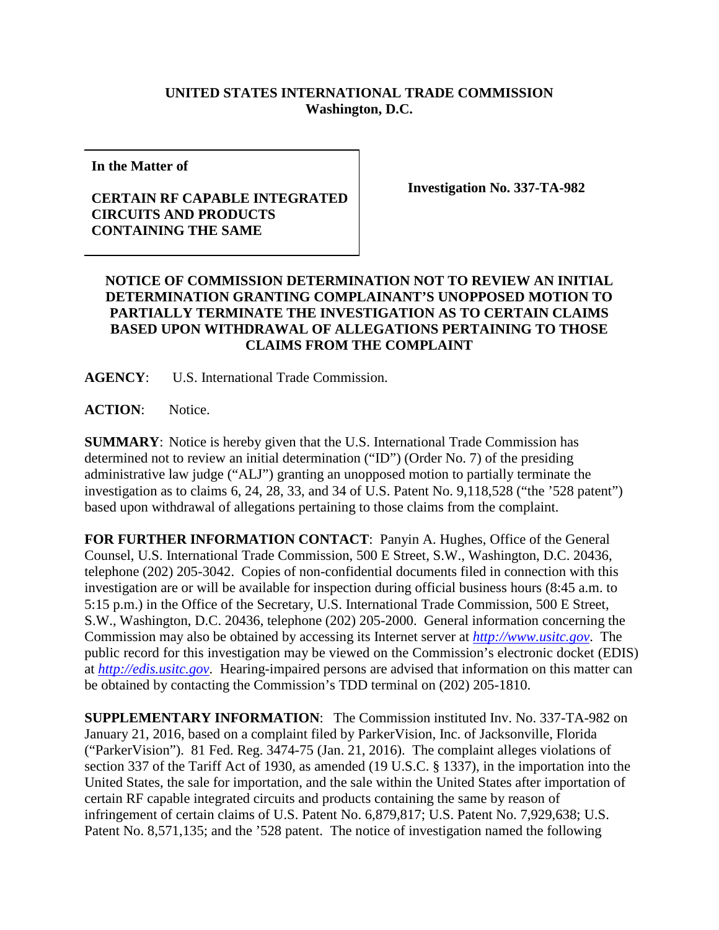## **UNITED STATES INTERNATIONAL TRADE COMMISSION Washington, D.C.**

**In the Matter of**

## **CERTAIN RF CAPABLE INTEGRATED CIRCUITS AND PRODUCTS CONTAINING THE SAME**

**Investigation No. 337-TA-982**

## **NOTICE OF COMMISSION DETERMINATION NOT TO REVIEW AN INITIAL DETERMINATION GRANTING COMPLAINANT'S UNOPPOSED MOTION TO PARTIALLY TERMINATE THE INVESTIGATION AS TO CERTAIN CLAIMS BASED UPON WITHDRAWAL OF ALLEGATIONS PERTAINING TO THOSE CLAIMS FROM THE COMPLAINT**

**AGENCY**: U.S. International Trade Commission.

**ACTION**: Notice.

**SUMMARY**: Notice is hereby given that the U.S. International Trade Commission has determined not to review an initial determination ("ID") (Order No. 7) of the presiding administrative law judge ("ALJ") granting an unopposed motion to partially terminate the investigation as to claims 6, 24, 28, 33, and 34 of U.S. Patent No. 9,118,528 ("the '528 patent") based upon withdrawal of allegations pertaining to those claims from the complaint.

**FOR FURTHER INFORMATION CONTACT**: Panyin A. Hughes, Office of the General Counsel, U.S. International Trade Commission, 500 E Street, S.W., Washington, D.C. 20436, telephone (202) 205-3042. Copies of non-confidential documents filed in connection with this investigation are or will be available for inspection during official business hours (8:45 a.m. to 5:15 p.m.) in the Office of the Secretary, U.S. International Trade Commission, 500 E Street, S.W., Washington, D.C. 20436, telephone (202) 205-2000. General information concerning the Commission may also be obtained by accessing its Internet server at *[http://www.usitc.gov](http://www.usitc.gov/)*. The public record for this investigation may be viewed on the Commission's electronic docket (EDIS) at *[http://edis.usitc.gov](http://edis.usitc.gov/)*. Hearing-impaired persons are advised that information on this matter can be obtained by contacting the Commission's TDD terminal on (202) 205-1810.

**SUPPLEMENTARY INFORMATION**: The Commission instituted Inv. No. 337-TA-982 on January 21, 2016, based on a complaint filed by ParkerVision, Inc. of Jacksonville, Florida ("ParkerVision"). 81 Fed. Reg. 3474-75 (Jan. 21, 2016). The complaint alleges violations of section 337 of the Tariff Act of 1930, as amended (19 U.S.C. § 1337), in the importation into the United States, the sale for importation, and the sale within the United States after importation of certain RF capable integrated circuits and products containing the same by reason of infringement of certain claims of U.S. Patent No. 6,879,817; U.S. Patent No. 7,929,638; U.S. Patent No. 8,571,135; and the '528 patent. The notice of investigation named the following